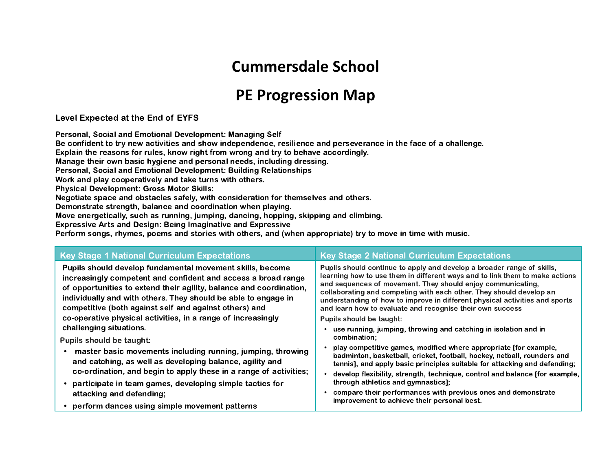## **Cummersdale School**

## **PE Progression Map**

Level Expected at the End of EYFS

Personal, Social and Emotional Development: Managing Self

Be confident to try new activities and show independence, resilience and perseverance in the face of a challenge.

Explain the reasons for rules, know right from wrong and try to behave accordingly.

Manage their own basic hygiene and personal needs, including dressing.

Personal, Social and Emotional Development: Building Relationships

Work and play cooperatively and take turns with others.

Physical Development: Gross Motor Skills:

Negotiate space and obstacles safely, with consideration for themselves and others.

Demonstrate strength, balance and coordination when playing.

Move energetically, such as running, jumping, dancing, hopping, skipping and climbing.

Expressive Arts and Design: Being Imaginative and Expressive

Perform songs, rhymes, poems and stories with others, and (when appropriate) try to move in time with music.

| <b>Key Stage 1 National Curriculum Expectations</b>                                                                                                                                                                                                                                                                           | <b>Key Stage 2 National Curriculum Expectations</b>                                                                                                                                                                                                                                                                                                                                                                                     |  |  |  |
|-------------------------------------------------------------------------------------------------------------------------------------------------------------------------------------------------------------------------------------------------------------------------------------------------------------------------------|-----------------------------------------------------------------------------------------------------------------------------------------------------------------------------------------------------------------------------------------------------------------------------------------------------------------------------------------------------------------------------------------------------------------------------------------|--|--|--|
| Pupils should develop fundamental movement skills, become<br>increasingly competent and confident and access a broad range<br>of opportunities to extend their agility, balance and coordination,<br>individually and with others. They should be able to engage in<br>competitive (both against self and against others) and | Pupils should continue to apply and develop a broader range of skills,<br>learning how to use them in different ways and to link them to make actions<br>and sequences of movement. They should enjoy communicating,<br>collaborating and competing with each other. They should develop an<br>understanding of how to improve in different physical activities and sports<br>and learn how to evaluate and recognise their own success |  |  |  |
| co-operative physical activities, in a range of increasingly                                                                                                                                                                                                                                                                  | Pupils should be taught:                                                                                                                                                                                                                                                                                                                                                                                                                |  |  |  |
| challenging situations.                                                                                                                                                                                                                                                                                                       | use running, jumping, throwing and catching in isolation and in                                                                                                                                                                                                                                                                                                                                                                         |  |  |  |
| <b>Pupils should be taught:</b>                                                                                                                                                                                                                                                                                               | combination;                                                                                                                                                                                                                                                                                                                                                                                                                            |  |  |  |
| master basic movements including running, jumping, throwing<br>and catching, as well as developing balance, agility and                                                                                                                                                                                                       | play competitive games, modified where appropriate [for example,<br>badminton, basketball, cricket, football, hockey, netball, rounders and<br>tennis], and apply basic principles suitable for attacking and defending;                                                                                                                                                                                                                |  |  |  |
| co-ordination, and begin to apply these in a range of activities;                                                                                                                                                                                                                                                             | develop flexibility, strength, technique, control and balance [for example,                                                                                                                                                                                                                                                                                                                                                             |  |  |  |
| • participate in team games, developing simple tactics for                                                                                                                                                                                                                                                                    | through athletics and gymnastics];                                                                                                                                                                                                                                                                                                                                                                                                      |  |  |  |
| attacking and defending;                                                                                                                                                                                                                                                                                                      | compare their performances with previous ones and demonstrate                                                                                                                                                                                                                                                                                                                                                                           |  |  |  |
| • perform dances using simple movement patterns                                                                                                                                                                                                                                                                               | improvement to achieve their personal best.                                                                                                                                                                                                                                                                                                                                                                                             |  |  |  |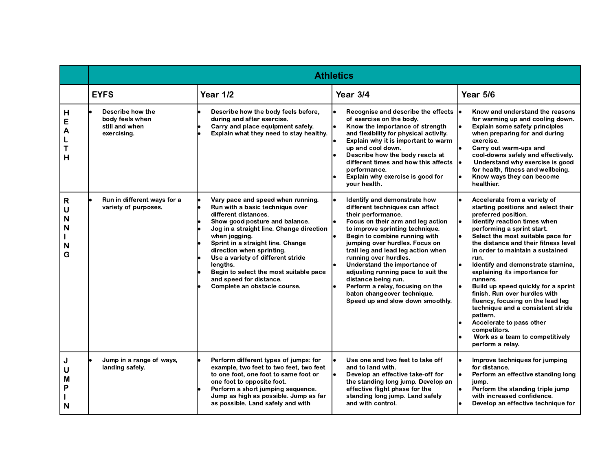|                            | <b>Athletics</b>                                                     |                                                                                                                                                                                                                                                                                                                                                                                                                     |                                                                                                                                                                                                                                                                                                                                                                                                                                                                                                     |                                                                                                                                                                                                                                                                                                                                                                                                                                                                                                                                                                                                                                      |  |  |  |
|----------------------------|----------------------------------------------------------------------|---------------------------------------------------------------------------------------------------------------------------------------------------------------------------------------------------------------------------------------------------------------------------------------------------------------------------------------------------------------------------------------------------------------------|-----------------------------------------------------------------------------------------------------------------------------------------------------------------------------------------------------------------------------------------------------------------------------------------------------------------------------------------------------------------------------------------------------------------------------------------------------------------------------------------------------|--------------------------------------------------------------------------------------------------------------------------------------------------------------------------------------------------------------------------------------------------------------------------------------------------------------------------------------------------------------------------------------------------------------------------------------------------------------------------------------------------------------------------------------------------------------------------------------------------------------------------------------|--|--|--|
|                            | <b>EYFS</b>                                                          | Year 1/2                                                                                                                                                                                                                                                                                                                                                                                                            | Year 3/4                                                                                                                                                                                                                                                                                                                                                                                                                                                                                            | Year 5/6                                                                                                                                                                                                                                                                                                                                                                                                                                                                                                                                                                                                                             |  |  |  |
| н<br>E<br>A<br>T<br>H      | Describe how the<br>body feels when<br>still and when<br>exercising. | Describe how the body feels before,<br>during and after exercise.<br>Carry and place equipment safely.<br>Explain what they need to stay healthy.                                                                                                                                                                                                                                                                   | Recognise and describe the effects<br>of exercise on the body.<br>Know the importance of strength<br>and flexibility for physical activity.<br>Explain why it is important to warm<br>up and cool down.<br>Describe how the body reacts at<br>different times and how this affects<br>performance.<br>Explain why exercise is good for<br>your health.                                                                                                                                              | Know and understand the reasons<br>for warming up and cooling down.<br><b>Explain some safety principles</b><br>when preparing for and during<br>exercise.<br>Carry out warm-ups and<br>cool-downs safely and effectively.<br>Understand why exercise is good<br>for health, fitness and wellbeing.<br>Know ways they can become<br>healthier.                                                                                                                                                                                                                                                                                       |  |  |  |
| R<br>U<br>N<br>N<br>N<br>G | Run in different ways for a<br>variety of purposes.                  | Vary pace and speed when running.<br>Run with a basic technique over<br>different distances.<br>Show good posture and balance.<br>Jog in a straight line. Change direction<br>when jogging.<br>Sprint in a straight line. Change<br>direction when sprinting.<br>Use a variety of different stride<br>lengths.<br>Begin to select the most suitable pace<br>and speed for distance.<br>Complete an obstacle course. | Identify and demonstrate how<br>different techniques can affect<br>their performance.<br>Focus on their arm and leg action<br>to improve sprinting technique.<br>Begin to combine running with<br>jumping over hurdles. Focus on<br>trail leg and lead leg action when<br>running over hurdles.<br>Understand the importance of<br>adjusting running pace to suit the<br>distance being run.<br>Perform a relay, focusing on the<br>baton changeover technique.<br>Speed up and slow down smoothly. | Accelerate from a variety of<br>starting positions and select their<br>preferred position.<br>Identify reaction times when<br>performing a sprint start.<br>Select the most suitable pace for<br>the distance and their fitness level<br>in order to maintain a sustained<br>run.<br>Identify and demonstrate stamina,<br>explaining its importance for<br>runners.<br>Build up speed quickly for a sprint<br>finish. Run over hurdles with<br>fluency, focusing on the lead leg<br>technique and a consistent stride<br>pattern.<br>Accelerate to pass other<br>competitors.<br>Work as a team to competitively<br>perform a relay. |  |  |  |
| J<br>U<br>М<br>Ρ<br>N      | Jump in a range of ways,<br>landing safely.                          | Perform different types of jumps: for<br>example, two feet to two feet, two feet<br>to one foot, one foot to same foot or<br>one foot to opposite foot.<br>Perform a short jumping sequence.<br>Jump as high as possible. Jump as far<br>as possible. Land safely and with                                                                                                                                          | Use one and two feet to take off<br>and to land with.<br>Develop an effective take-off for<br>the standing long jump. Develop an<br>effective flight phase for the<br>standing long jump. Land safely<br>and with control.                                                                                                                                                                                                                                                                          | Improve techniques for jumping<br>for distance.<br>Perform an effective standing long<br>jump.<br>Perform the standing triple jump<br>with increased confidence.<br>Develop an effective technique for                                                                                                                                                                                                                                                                                                                                                                                                                               |  |  |  |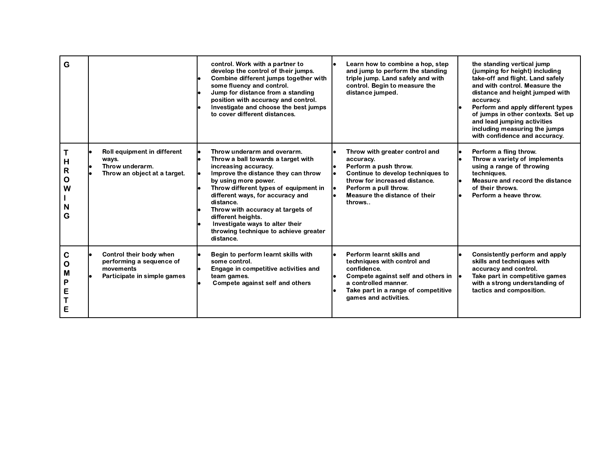| G                          |                                                                                                 | control. Work with a partner to<br>develop the control of their jumps.<br>Combine different jumps together with<br>some fluency and control.<br>Jump for distance from a standing<br>position with accuracy and control.<br>Investigate and choose the best jumps<br>to cover different distances.                                                                                                     | Learn how to combine a hop, step<br>and jump to perform the standing<br>triple jump. Land safely and with<br>control. Begin to measure the<br>distance jumped.                                                 | the standing vertical jump<br>(jumping for height) including<br>take-off and flight. Land safely<br>and with control. Measure the<br>distance and height jumped with<br>accuracy.<br>Perform and apply different types<br>of jumps in other contexts. Set up<br>and lead jumping activities<br>including measuring the jumps<br>with confidence and accuracy. |
|----------------------------|-------------------------------------------------------------------------------------------------|--------------------------------------------------------------------------------------------------------------------------------------------------------------------------------------------------------------------------------------------------------------------------------------------------------------------------------------------------------------------------------------------------------|----------------------------------------------------------------------------------------------------------------------------------------------------------------------------------------------------------------|---------------------------------------------------------------------------------------------------------------------------------------------------------------------------------------------------------------------------------------------------------------------------------------------------------------------------------------------------------------|
| н<br>R<br>O<br>W<br>N<br>G | Roll equipment in different<br>ways.<br>Throw underarm.<br>Throw an object at a target.         | Throw underarm and overarm.<br>Throw a ball towards a target with<br>increasing accuracy.<br>Improve the distance they can throw<br>by using more power.<br>Throw different types of equipment in<br>different ways, for accuracy and<br>distance.<br>Throw with accuracy at targets of<br>different heights.<br>Investigate ways to alter their<br>throwing technique to achieve greater<br>distance. | Throw with greater control and<br>accuracy.<br>Perform a push throw.<br>Continue to develop techniques to<br>throw for increased distance.<br>Perform a pull throw.<br>Measure the distance of their<br>throws | Perform a fling throw.<br>Throw a variety of implements<br>using a range of throwing<br>techniques.<br>Measure and record the distance<br>of their throws.<br>Perform a heave throw.                                                                                                                                                                          |
| С<br>O<br>М<br>Ρ<br>E<br>E | Control their body when<br>performing a sequence of<br>movements<br>Participate in simple games | Begin to perform learnt skills with<br>some control.<br>Engage in competitive activities and<br>team games.<br>Compete against self and others                                                                                                                                                                                                                                                         | Perform learnt skills and<br>techniques with control and<br>confidence.<br>Compete against self and others in  .<br>a controlled manner.<br>Take part in a range of competitive<br>games and activities.       | Consistently perform and apply<br>skills and techniques with<br>accuracy and control.<br>Take part in competitive games<br>with a strong understanding of<br>tactics and composition.                                                                                                                                                                         |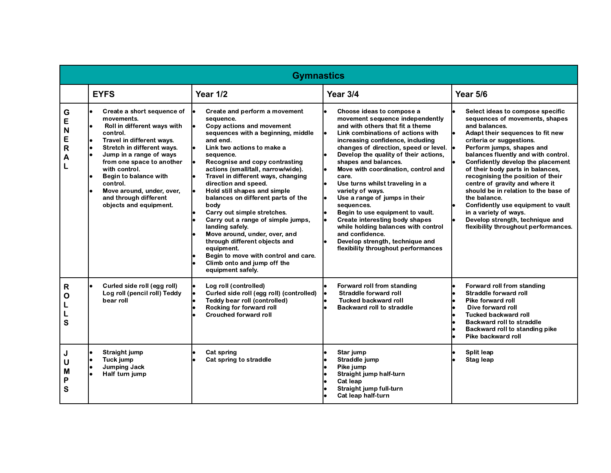|                            | <b>Gymnastics</b>                                                                                                                                                                                                                                                                                                                                        |                                                                                                                                                                                                                                                                                                                                                                                                                                                                                                                                                                                                                                                              |                                                                                                                                                                                                                                                                                                                                                                                                                                                                                                                                                                                                                                                                                           |                                                                                                                                                                                                                                                                                                                                                                                                                                                                                                                                                                           |  |  |
|----------------------------|----------------------------------------------------------------------------------------------------------------------------------------------------------------------------------------------------------------------------------------------------------------------------------------------------------------------------------------------------------|--------------------------------------------------------------------------------------------------------------------------------------------------------------------------------------------------------------------------------------------------------------------------------------------------------------------------------------------------------------------------------------------------------------------------------------------------------------------------------------------------------------------------------------------------------------------------------------------------------------------------------------------------------------|-------------------------------------------------------------------------------------------------------------------------------------------------------------------------------------------------------------------------------------------------------------------------------------------------------------------------------------------------------------------------------------------------------------------------------------------------------------------------------------------------------------------------------------------------------------------------------------------------------------------------------------------------------------------------------------------|---------------------------------------------------------------------------------------------------------------------------------------------------------------------------------------------------------------------------------------------------------------------------------------------------------------------------------------------------------------------------------------------------------------------------------------------------------------------------------------------------------------------------------------------------------------------------|--|--|
|                            | <b>EYFS</b>                                                                                                                                                                                                                                                                                                                                              | <b>Year 1/2</b>                                                                                                                                                                                                                                                                                                                                                                                                                                                                                                                                                                                                                                              | Year 3/4                                                                                                                                                                                                                                                                                                                                                                                                                                                                                                                                                                                                                                                                                  | Year 5/6                                                                                                                                                                                                                                                                                                                                                                                                                                                                                                                                                                  |  |  |
| G<br>Е<br>N<br>E<br>R<br>А | Create a short sequence of<br>movements.<br>Roll in different ways with<br>control.<br>Travel in different ways.<br>lo<br>l۰<br>Stretch in different ways.<br>Jump in a range of ways<br>from one space to another<br>with control.<br>Begin to balance with<br>control.<br>Move around, under, over,<br>and through different<br>objects and equipment. | Create and perform a movement<br>sequence.<br>Copy actions and movement<br>sequences with a beginning, middle<br>and end.<br>Link two actions to make a<br>sequence.<br>Recognise and copy contrasting<br>actions (small/tall, narrow/wide).<br>Travel in different ways, changing<br>direction and speed.<br>Hold still shapes and simple<br>balances on different parts of the<br>body<br>Carry out simple stretches.<br>Carry out a range of simple jumps,<br>landing safely.<br>Move around, under, over, and<br>through different objects and<br>equipment.<br>Begin to move with control and care.<br>Climb onto and jump off the<br>equipment safely. | l.<br>Choose ideas to compose a<br>movement sequence independently<br>and with others that fit a theme<br>I۰<br>Link combinations of actions with<br>increasing confidence, including<br>changes of direction, speed or level.  <br>Develop the quality of their actions,<br>shapes and balances.<br>Move with coordination, control and<br>care.<br>Use turns whilst traveling in a<br>l.<br>variety of ways.<br>l.<br>Use a range of jumps in their<br>sequences.<br>Begin to use equipment to vault.<br>l.<br>Create interesting body shapes<br>while holding balances with control<br>and confidence.<br>Develop strength, technique and<br>l۰<br>flexibility throughout performances | Select ideas to compose specific<br>sequences of movements, shapes<br>and balances.<br>Adapt their sequences to fit new<br>criteria or suggestions.<br>Perform jumps, shapes and<br>balances fluently and with control.<br>Confidently develop the placement<br>of their body parts in balances,<br>recognising the position of their<br>centre of gravity and where it<br>should be in relation to the base of<br>the balance.<br>Confidently use equipment to vault<br>in a variety of ways.<br>Develop strength, technique and<br>flexibility throughout performances. |  |  |
| R<br>О<br>S                | Curled side roll (egg roll)<br>Log roll (pencil roll) Teddy<br>bear roll                                                                                                                                                                                                                                                                                 | Log roll (controlled)<br>Curled side roll (egg roll) (controlled)<br>Teddy bear roll (controlled)<br>Rocking for forward roll<br><b>Crouched forward roll</b>                                                                                                                                                                                                                                                                                                                                                                                                                                                                                                | Forward roll from standing<br>le.<br>Straddle forward roll<br><b>Tucked backward roll</b><br>l۰<br><b>Backward roll to straddle</b>                                                                                                                                                                                                                                                                                                                                                                                                                                                                                                                                                       | Forward roll from standing<br>Straddle forward roll<br>Pike forward roll<br>Dive forward roll<br><b>Tucked backward roll</b><br><b>Backward roll to straddle</b><br>Backward roll to standing pike<br>Pike backward roll                                                                                                                                                                                                                                                                                                                                                  |  |  |
| J<br>U<br>м<br>Ρ<br>S      | Straight jump<br>Tuck jump<br><b>Jumping Jack</b><br>Half turn jump                                                                                                                                                                                                                                                                                      | Cat spring<br>Cat spring to straddle                                                                                                                                                                                                                                                                                                                                                                                                                                                                                                                                                                                                                         | Star jump<br>Straddle jump<br>l٥<br>Pike jump<br>Straight jump half-turn<br>Cat leap<br>Straight jump full-turn<br>Cat leap half-turn                                                                                                                                                                                                                                                                                                                                                                                                                                                                                                                                                     | Split leap<br>Stag leap                                                                                                                                                                                                                                                                                                                                                                                                                                                                                                                                                   |  |  |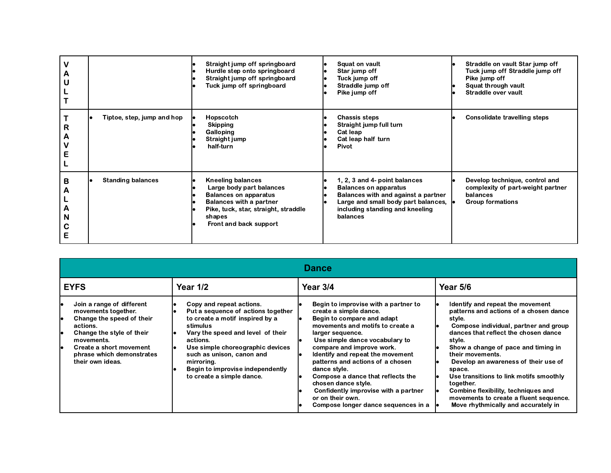| А                     |                            | Straight jump off springboard<br>Hurdle step onto springboard<br>Straight jump off springboard<br>Tuck jump off springboard                                                                        | Squat on vault<br>le<br>Star jump off<br>le<br>Tuck jump off<br>le<br>Straddle jump off<br>Pike jump off                                                                                                     | Straddle on vault Star jump off<br>Tuck jump off Straddle jump off<br>Pike jump off<br>Squat through vault<br>Straddle over vault |
|-----------------------|----------------------------|----------------------------------------------------------------------------------------------------------------------------------------------------------------------------------------------------|--------------------------------------------------------------------------------------------------------------------------------------------------------------------------------------------------------------|-----------------------------------------------------------------------------------------------------------------------------------|
| R<br>Α                | Tiptoe, step, jump and hop | Hopscotch<br>Skipping<br>Galloping<br>Straight jump<br>half-turn                                                                                                                                   | <b>Chassis steps</b><br>Straight jump full turn<br>Cat leap<br>Cat leap half turn<br>Pivot                                                                                                                   | Consolidate travelling steps                                                                                                      |
| в<br>Α<br>Α<br>N<br>C | <b>Standing balances</b>   | <b>Kneeling balances</b><br>Large body part balances<br><b>Balances on apparatus</b><br><b>Balances with a partner</b><br>Pike, tuck, star, straight, straddle<br>shapes<br>Front and back support | 1, 2, 3 and 4- point balances<br><b>Balances on apparatus</b><br>le<br>Balances with and against a partner<br>le<br>Large and small body part balances,<br>le<br>including standing and kneeling<br>balances | Develop technique, control and<br>complexity of part-weight partner<br>balances<br><b>Group formations</b>                        |

|                                                                                                                                                                                                                              | <b>Dance</b>                                                                                                                                                                                                                                                                                                   |                                                                                                                                                                                                                                                                                                                                                                                                                                                                            |                                                                                                                                                                                                                                                                                                                                                                                                                                                                              |  |  |  |  |
|------------------------------------------------------------------------------------------------------------------------------------------------------------------------------------------------------------------------------|----------------------------------------------------------------------------------------------------------------------------------------------------------------------------------------------------------------------------------------------------------------------------------------------------------------|----------------------------------------------------------------------------------------------------------------------------------------------------------------------------------------------------------------------------------------------------------------------------------------------------------------------------------------------------------------------------------------------------------------------------------------------------------------------------|------------------------------------------------------------------------------------------------------------------------------------------------------------------------------------------------------------------------------------------------------------------------------------------------------------------------------------------------------------------------------------------------------------------------------------------------------------------------------|--|--|--|--|
| <b>EYFS</b><br><b>Year 1/2</b>                                                                                                                                                                                               |                                                                                                                                                                                                                                                                                                                | Year 3/4                                                                                                                                                                                                                                                                                                                                                                                                                                                                   | <b>Year 5/6</b>                                                                                                                                                                                                                                                                                                                                                                                                                                                              |  |  |  |  |
| Join a range of different<br>movements together.<br>Change the speed of their<br>actions.<br>Change the style of their<br>١e<br>movements.<br>Create a short movement<br>le<br>phrase which demonstrates<br>their own ideas. | Copy and repeat actions.<br>Put a sequence of actions together<br>to create a motif inspired by a<br>stimulus<br>Vary the speed and level of their<br>actions.<br>Use simple choreographic devices<br>such as unison, canon and<br>mirroring.<br>Begin to improvise independently<br>to create a simple dance. | Begin to improvise with a partner to<br>create a simple dance.<br>Begin to compare and adapt<br>movements and motifs to create a<br>larger sequence.<br>Use simple dance vocabulary to<br>compare and improve work.<br>Identify and repeat the movement<br>patterns and actions of a chosen<br>dance style.<br>Compose a dance that reflects the<br>chosen dance style.<br>Confidently improvise with a partner<br>or on their own.<br>Compose longer dance sequences in a | Identify and repeat the movement<br>patterns and actions of a chosen dance<br>style.<br>Compose individual, partner and group<br>dances that reflect the chosen dance<br>style.<br>Show a change of pace and timing in<br>their movements.<br>Develop an awareness of their use of<br>space.<br>Use transitions to link motifs smoothly<br>together.<br>Combine flexibility, techniques and<br>movements to create a fluent sequence.<br>Move rhythmically and accurately in |  |  |  |  |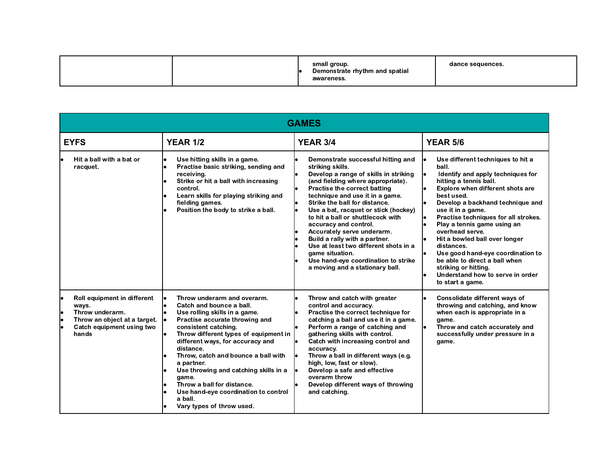|  | small group.<br>Demonstrate rhythm and spatial<br>awareness. | dance sequences. |
|--|--------------------------------------------------------------|------------------|
|--|--------------------------------------------------------------|------------------|

|                                | <b>GAMES</b>                                                                                                                  |                                                                                                                                                                                                                                                                                                                                                                                                                                                                                     |                                                                                                                                                                                                                                                                                                                                                                                                                                                                                                                                                     |                                                                                                                                                                                                                                                                                                                                                                                                                                                                                                                     |  |  |  |
|--------------------------------|-------------------------------------------------------------------------------------------------------------------------------|-------------------------------------------------------------------------------------------------------------------------------------------------------------------------------------------------------------------------------------------------------------------------------------------------------------------------------------------------------------------------------------------------------------------------------------------------------------------------------------|-----------------------------------------------------------------------------------------------------------------------------------------------------------------------------------------------------------------------------------------------------------------------------------------------------------------------------------------------------------------------------------------------------------------------------------------------------------------------------------------------------------------------------------------------------|---------------------------------------------------------------------------------------------------------------------------------------------------------------------------------------------------------------------------------------------------------------------------------------------------------------------------------------------------------------------------------------------------------------------------------------------------------------------------------------------------------------------|--|--|--|
| <b>YEAR 1/2</b><br><b>EYFS</b> |                                                                                                                               | <b>YEAR 3/4</b>                                                                                                                                                                                                                                                                                                                                                                                                                                                                     | <b>YEAR 5/6</b>                                                                                                                                                                                                                                                                                                                                                                                                                                                                                                                                     |                                                                                                                                                                                                                                                                                                                                                                                                                                                                                                                     |  |  |  |
|                                | Hit a ball with a bat or<br>racquet.                                                                                          | Use hitting skills in a game.<br>$\bullet$<br>Practise basic striking, sending and<br>le<br>receiving.<br>Strike or hit a ball with increasing<br>control.<br>Learn skills for playing striking and<br>fielding games.<br>Position the body to strike a ball.                                                                                                                                                                                                                       | Demonstrate successful hitting and<br>striking skills.<br>Develop a range of skills in striking<br>(and fielding where appropriate).<br>Practise the correct batting<br>technique and use it in a game.<br>Strike the ball for distance.<br>Use a bat, racquet or stick (hockey)<br>to hit a ball or shuttlecock with<br>accuracy and control.<br>Accurately serve underarm.<br>Build a rally with a partner.<br>Use at least two different shots in a<br>game situation.<br>Use hand-eve coordination to strike<br>a moving and a stationary ball. | Use different techniques to hit a<br>ball.<br>Identify and apply techniques for<br>hitting a tennis ball.<br>Explore when different shots are<br>best used.<br>Develop a backhand technique and<br>use it in a game.<br>Practise techniques for all strokes.<br>Play a tennis game using an<br>overhead serve.<br>Hit a bowled ball over longer<br>distances.<br>Use good hand-eye coordination to<br>be able to direct a ball when<br>striking or hitting.<br>Understand how to serve in order<br>to start a game. |  |  |  |
|                                | Roll equipment in different<br>ways.<br>Throw underarm.<br>Throw an object at a target.<br>Catch equipment using two<br>hands | Throw underarm and overarm.<br>le<br>Catch and bounce a ball.<br>۱.<br>Use rolling skills in a game.<br>l۰<br>Practise accurate throwing and<br>consistent catching.<br>Throw different types of equipment in<br>different ways, for accuracy and<br>distance.<br>Throw, catch and bounce a ball with<br>a partner.<br>Use throwing and catching skills in a<br>game.<br>Throw a ball for distance.<br>Use hand-eye coordination to control<br>a ball.<br>Vary types of throw used. | Throw and catch with greater<br>control and accuracy.<br>Practise the correct technique for<br>catching a ball and use it in a game.<br>Perform a range of catching and<br>gathering skills with control.<br>Catch with increasing control and<br>accuracy.<br>Throw a ball in different ways (e.g.<br>le<br>high, low, fast or slow).<br>Develop a safe and effective<br>overarm throw<br>Develop different ways of throwing<br>and catching.                                                                                                      | Consolidate different ways of<br>throwing and catching, and know<br>when each is appropriate in a<br>game.<br>Throw and catch accurately and<br>successfully under pressure in a<br>game.                                                                                                                                                                                                                                                                                                                           |  |  |  |